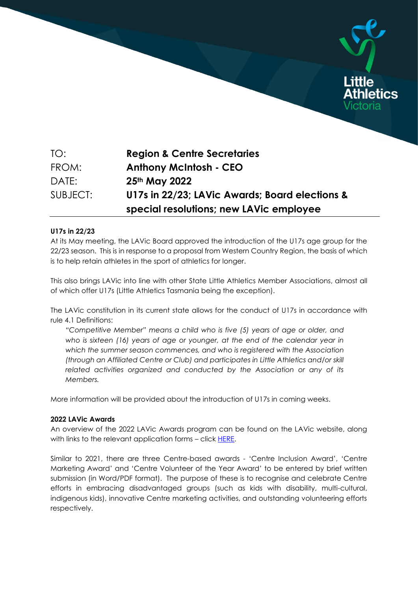

SUBJECT: **U17s in 22/23; LAVic Awards; Board elections & special resolutions; new LAVic employee**

## **U17s in 22/23**

At its May meeting, the LAVic Board approved the introduction of the U17s age group for the 22/23 season. This is in response to a proposal from Western Country Region, the basis of which is to help retain athletes in the sport of athletics for longer.

This also brings LAVic into line with other State Little Athletics Member Associations, almost all of which offer U17s (Little Athletics Tasmania being the exception).

The LAVic constitution in its current state allows for the conduct of U17s in accordance with rule 4.1 Definitions:

*"Competitive Member" means a child who is five (5) years of age or older, and who is sixteen (16) years of age or younger, at the end of the calendar year in which the summer season commences, and who is registered with the Association (through an Affiliated Centre or Club) and participates in Little Athletics and/or skill related activities organized and conducted by the Association or any of its Members.*

More information will be provided about the introduction of U17s in coming weeks.

## **2022 LAVic Awards**

An overview of the 2022 LAVic Awards program can be found on the LAVic website, along with links to the relevant application forms - click [HERE.](https://lavic.com.au/about-us/recognition-and-awards/little-athletics-victoria-awards/)

Similar to 2021, there are three Centre-based awards - 'Centre Inclusion Award', 'Centre Marketing Award' and 'Centre Volunteer of the Year Award' to be entered by brief written submission (in Word/PDF format). The purpose of these is to recognise and celebrate Centre efforts in embracing disadvantaged groups (such as kids with disability, multi-cultural, indigenous kids), innovative Centre marketing activities, and outstanding volunteering efforts respectively.